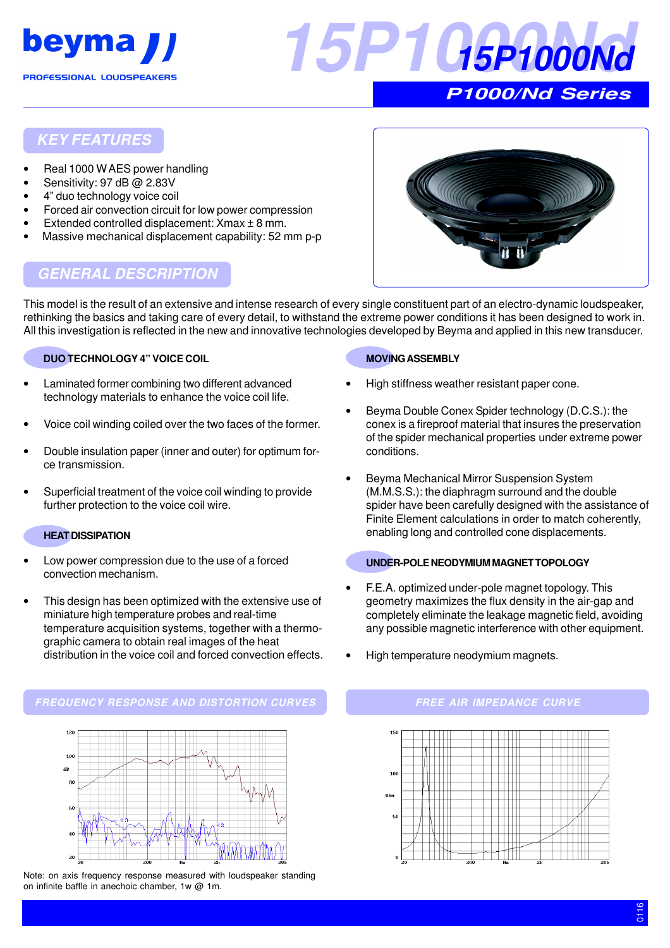



# **KEY FEATURES**

- Real 1000 W AES power handling
- Sensitivity: 97 dB @ 2.83V
- 4" duo technology voice coil
- Forced air convection circuit for low power compression
- Extended controlled displacement:  $X$ max  $\pm$  8 mm.
- Massive mechanical displacement capability: 52 mm p-p



# **GENERAL DESCRIPTION**

This model is the result of an extensive and intense research of every single constituent part of an electro-dynamic loudspeaker, rethinking the basics and taking care of every detail, to withstand the extreme power conditions it has been designed to work in. All this investigation is reflected in the new and innovative technologies developed by Beyma and applied in this new transducer.

#### **DUO TECHNOLOGY 4" VOICE COIL**

- Laminated former combining two different advanced technology materials to enhance the voice coil life.
- Voice coil winding coiled over the two faces of the former.
- Double insulation paper (inner and outer) for optimum force transmission.
- Superficial treatment of the voice coil winding to provide further protection to the voice coil wire.

#### **HEAT DISSIPATION**

- Low power compression due to the use of a forced convection mechanism.
- This design has been optimized with the extensive use of miniature high temperature probes and real-time temperature acquisition systems, together with a thermographic camera to obtain real images of the heat distribution in the voice coil and forced convection effects.

# **MOVING ASSEMBLY**

- High stiffness weather resistant paper cone.
- Beyma Double Conex Spider technology (D.C.S.): the conex is a fireproof material that insures the preservation of the spider mechanical properties under extreme power conditions.
- Beyma Mechanical Mirror Suspension System (M.M.S.S.): the diaphragm surround and the double spider have been carefully designed with the assistance of Finite Element calculations in order to match coherently, enabling long and controlled cone displacements.

#### **UNDER-POLE NEODYMIUM MAGNET TOPOLOGY**

- F.E.A. optimized under-pole magnet topology. This geometry maximizes the flux density in the air-gap and completely eliminate the leakage magnetic field, avoiding any possible magnetic interference with other equipment.
- High temperature neodymium magnets.

#### **FREQUENCY RESPONSE AND DISTORTION CURVES FREE AIR IMPEDANCE CURVE**



Note: on axis frequency response measured with loudspeaker standing on infinite baffle in anechoic chamber, 1w @ 1m.